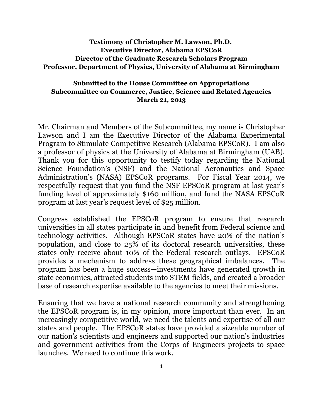## **Testimony of Christopher M. Lawson, Ph.D. Executive Director, Alabama EPSCoR Director of the Graduate Research Scholars Program Professor, Department of Physics, University of Alabama at Birmingham**

## **Submitted to the House Committee on Appropriations Subcommittee on Commerce, Justice, Science and Related Agencies March 21, 2013**

Mr. Chairman and Members of the Subcommittee, my name is Christopher Lawson and I am the Executive Director of the Alabama Experimental Program to Stimulate Competitive Research (Alabama EPSCoR). I am also a professor of physics at the University of Alabama at Birmingham (UAB). Thank you for this opportunity to testify today regarding the National Science Foundation's (NSF) and the National Aeronautics and Space Administration's (NASA) EPSCoR programs. For Fiscal Year 2014, we respectfully request that you fund the NSF EPSCoR program at last year's funding level of approximately \$160 million, and fund the NASA EPSCoR program at last year's request level of \$25 million.

Congress established the EPSCoR program to ensure that research universities in all states participate in and benefit from Federal science and technology activities. Although EPSCoR states have 20% of the nation's population, and close to 25% of its doctoral research universities, these states only receive about 10% of the Federal research outlays. EPSCoR provides a mechanism to address these geographical imbalances. The program has been a huge success—investments have generated growth in state economies, attracted students into STEM fields, and created a broader base of research expertise available to the agencies to meet their missions.

Ensuring that we have a national research community and strengthening the EPSCoR program is, in my opinion, more important than ever. In an increasingly competitive world, we need the talents and expertise of all our states and people. The EPSCoR states have provided a sizeable number of our nation's scientists and engineers and supported our nation's industries and government activities from the Corps of Engineers projects to space launches. We need to continue this work.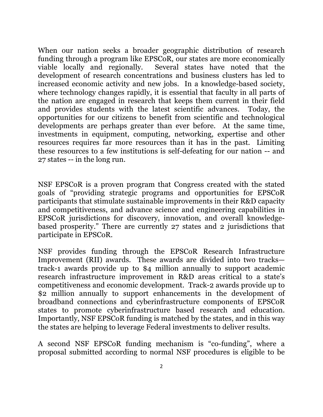When our nation seeks a broader geographic distribution of research funding through a program like EPSCoR, our states are more economically viable locally and regionally. Several states have noted that the development of research concentrations and business clusters has led to increased economic activity and new jobs. In a knowledge-based society, where technology changes rapidly, it is essential that faculty in all parts of the nation are engaged in research that keeps them current in their field and provides students with the latest scientific advances. Today, the opportunities for our citizens to benefit from scientific and technological developments are perhaps greater than ever before. At the same time, investments in equipment, computing, networking, expertise and other resources requires far more resources than it has in the past. Limiting these resources to a few institutions is self-defeating for our nation -- and 27 states -- in the long run.

NSF EPSCoR is a proven program that Congress created with the stated goals of "providing strategic programs and opportunities for EPSCoR participants that stimulate sustainable improvements in their R&D capacity and competitiveness, and advance science and engineering capabilities in EPSCoR jurisdictions for discovery, innovation, and overall knowledgebased prosperity." There are currently 27 states and 2 jurisdictions that participate in EPSCoR.

NSF provides funding through the EPSCoR Research Infrastructure Improvement (RII) awards. These awards are divided into two tracks track-1 awards provide up to \$4 million annually to support academic research infrastructure improvement in R&D areas critical to a state's competitiveness and economic development. Track-2 awards provide up to \$2 million annually to support enhancements in the development of broadband connections and cyberinfrastructure components of EPSCoR states to promote cyberinfrastructure based research and education. Importantly, NSF EPSCoR funding is matched by the states, and in this way the states are helping to leverage Federal investments to deliver results.

A second NSF EPSCoR funding mechanism is "co-funding", where a proposal submitted according to normal NSF procedures is eligible to be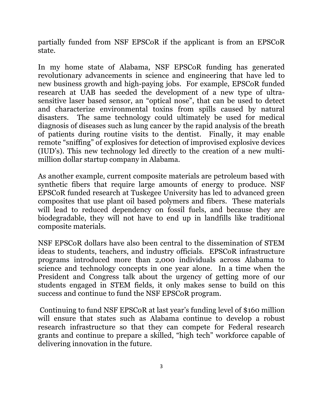partially funded from NSF EPSCoR if the applicant is from an EPSCoR state.

In my home state of Alabama, NSF EPSCoR funding has generated revolutionary advancements in science and engineering that have led to new business growth and high-paying jobs. For example, EPSCoR funded research at UAB has seeded the development of a new type of ultrasensitive laser based sensor, an "optical nose", that can be used to detect and characterize environmental toxins from spills caused by natural disasters. The same technology could ultimately be used for medical diagnosis of diseases such as lung cancer by the rapid analysis of the breath of patients during routine visits to the dentist. Finally, it may enable remote "sniffing" of explosives for detection of improvised explosive devices (IUD's). This new technology led directly to the creation of a new multimillion dollar startup company in Alabama.

As another example, current composite materials are petroleum based with synthetic fibers that require large amounts of energy to produce. NSF EPSCoR funded research at Tuskegee University has led to advanced green composites that use plant oil based polymers and fibers. These materials will lead to reduced dependency on fossil fuels, and because they are biodegradable, they will not have to end up in landfills like traditional composite materials.

NSF EPSCoR dollars have also been central to the dissemination of STEM ideas to students, teachers, and industry officials. EPSCoR infrastructure programs introduced more than 2,000 individuals across Alabama to science and technology concepts in one year alone. In a time when the President and Congress talk about the urgency of getting more of our students engaged in STEM fields, it only makes sense to build on this success and continue to fund the NSF EPSCoR program.

Continuing to fund NSF EPSCoR at last year's funding level of \$160 million will ensure that states such as Alabama continue to develop a robust research infrastructure so that they can compete for Federal research grants and continue to prepare a skilled, "high tech" workforce capable of delivering innovation in the future.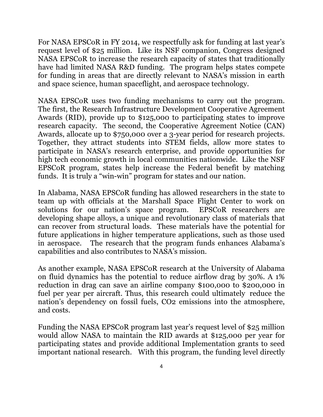For NASA EPSCoR in FY 2014, we respectfully ask for funding at last year's request level of \$25 million. Like its NSF companion, Congress designed NASA EPSCoR to increase the research capacity of states that traditionally have had limited NASA R&D funding. The program helps states compete for funding in areas that are directly relevant to NASA's mission in earth and space science, human spaceflight, and aerospace technology.

NASA EPSCoR uses two funding mechanisms to carry out the program. The first, the Research Infrastructure Development Cooperative Agreement Awards (RID), provide up to \$125,000 to participating states to improve research capacity. The second, the Cooperative Agreement Notice (CAN) Awards, allocate up to \$750,000 over a 3-year period for research projects. Together, they attract students into STEM fields, allow more states to participate in NASA's research enterprise, and provide opportunities for high tech economic growth in local communities nationwide. Like the NSF EPSCoR program, states help increase the Federal benefit by matching funds. It is truly a "win-win" program for states and our nation.

In Alabama, NASA EPSCoR funding has allowed researchers in the state to team up with officials at the Marshall Space Flight Center to work on solutions for our nation's space program. EPSCoR researchers are developing shape alloys, a unique and revolutionary class of materials that can recover from structural loads. These materials have the potential for future applications in higher temperature applications, such as those used in aerospace. The research that the program funds enhances Alabama's capabilities and also contributes to NASA's mission.

As another example, NASA EPSCoR research at the University of Alabama on fluid dynamics has the potential to reduce airflow drag by 30%. A 1% reduction in drag can save an airline company \$100,000 to \$200,000 in fuel per year per aircraft. Thus, this research could ultimately reduce the nation's dependency on fossil fuels, CO2 emissions into the atmosphere, and costs.

Funding the NASA EPSCoR program last year's request level of \$25 million would allow NASA to maintain the RID awards at \$125,000 per year for participating states and provide additional Implementation grants to seed important national research. With this program, the funding level directly